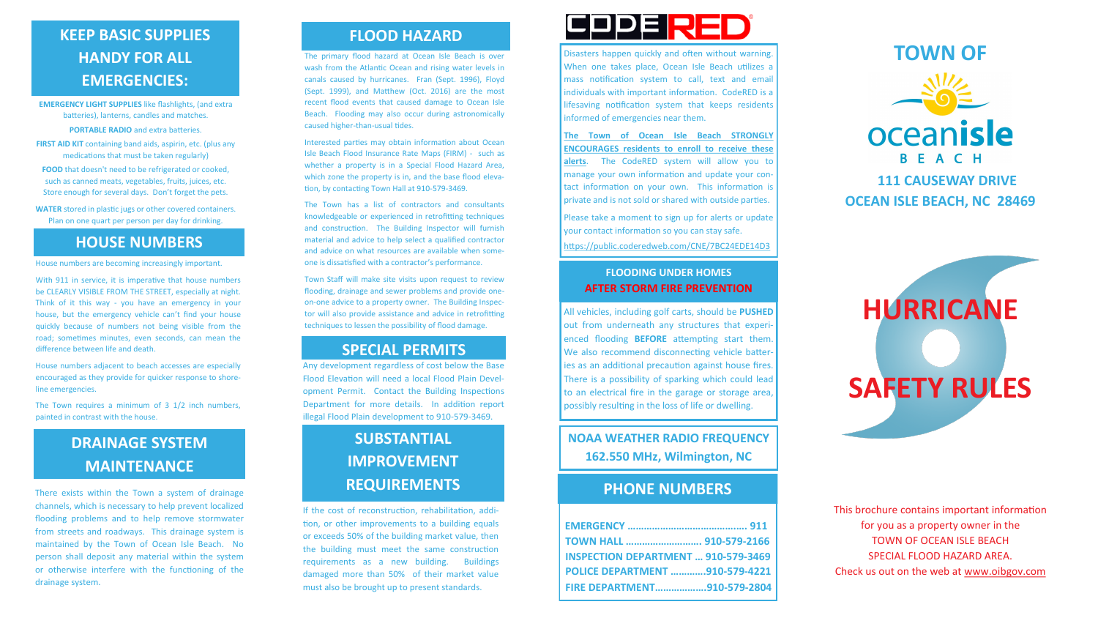# **KEEP BASIC SUPPLIES FLOOD HAZARD HANDY FOR ALL EMERGENCIES:**

**EMERGENCY LIGHT SUPPLIES** like flashlights, (and extra batteries), lanterns, candles and matches. **PORTABLE RADIO** and extra batteries.

**FIRST AID KIT** containing band aids, aspirin, etc. (plus any medications that must be taken regularly)

**FOOD** that doesn't need to be refrigerated or cooked, such as canned meats, vegetables, fruits, juices, etc. Store enough for several days. Don't forget the pets.

**WATER** stored in plastic jugs or other covered containers. Plan on one quart per person per day for drinking.

# **HOUSE NUMBERS**

House numbers are becoming increasingly important.

The Town requires a minimum of 3 1/2 inch numbers. painted in contrast with the house.

With 911 in service, it is imperative that house numbers be CLEARLY VISIBLE FROM THE STREET, especially at night. Think of it this way - you have an emergency in your house, but the emergency vehicle can't find your house quickly because of numbers not being visible from the road; sometimes minutes, even seconds, can mean the difference between life and death.

House numbers adjacent to beach accesses are especially encouraged as they provide for quicker response to shoreline emergencies.

There exists within the Town a system of drainage channels, which is necessary to help prevent localized flooding problems and to help remove stormwater from streets and roadways. This drainage system is maintained by the Town of Ocean Isle Beach. No person shall deposit any material within the system or otherwise interfere with the functioning of the drainage system.

The primary flood hazard at Ocean Isle Beach is over wash from the Atlantic Ocean and rising water levels in canals caused by hurricanes. Fran (Sept. 1996), Floyd (Sept. 1999), and Matthew (Oct. 2016) are the most recent flood events that caused damage to Ocean Isle Beach. Flooding may also occur during astronomically caused higher-than-usual tides.

Interested parties may obtain information about Ocean Isle Beach Flood Insurance Rate Maps (FIRM) - such as whether a property is in a Special Flood Hazard Area, which zone the property is in, and the base flood elevation, by contacting Town Hall at 910-579-3469.

The Town has a list of contractors and consultants knowledgeable or experienced in retrofitting techniques and construction. The Building Inspector will furnish material and advice to help select a qualified contractor and advice on what resources are available when someone is dissatisfied with a contractor's performance.

Town Staff will make site visits upon request to review flooding, drainage and sewer problems and provide oneon-one advice to a property owner. The Building Inspector will also provide assistance and advice in retrofitting techniques to lessen the possibility of flood damage.

# **SPECIAL PERMITS**

Any development regardless of cost below the Base Flood Elevation will need a local Flood Plain Development Permit. Contact the Building Inspections Department for more details. In addition report illegal Flood Plain development to 910-579-3469.

# **DRAINAGE SYSTEM MAINTENANCE**

# **SUBSTANTIAL IMPROVEMENT REQUIREMENTS**

If the cost of reconstruction, rehabilitation, addition, or other improvements to a building equals or exceeds 50% of the building market value, then the building must meet the same construction requirements as a new building. Buildings damaged more than 50% of their market value must also be brought up to present standards.

# **CODE RED**

**NOAA WEATHER RADIO FREQUENCY 162.550 MHz, Wilmington, NC**

All vehicles, including golf carts, should be **PUSHED** out from underneath any structures that experienced flooding **BEFORE** attempting start them. We also recommend disconnecting vehicle batteries as an additional precaution against house fires. There is a possibility of sparking which could lead to an electrical fire in the garage or storage area, possibly resulting in the loss of life or dwelling.

### **FLOODING UNDER HOMES AFTER STORM FIRE PREVENTION**

| TOWN HALL  910-579-2166                    |  |
|--------------------------------------------|--|
| <b>INSPECTION DEPARTMENT  910-579-3469</b> |  |
| POLICE DEPARTMENT 910-579-4221             |  |
| FIRE DEPARTMENT910-579-2804                |  |



## **PHONE NUMBERS**

Disasters happen quickly and often without warning. When one takes place, Ocean Isle Beach utilizes a mass notification system to call, text and email individuals with important information. CodeRED is a lifesaving notification system that keeps residents informed of emergencies near them.

**The Town of Ocean Isle Beach STRONGLY ENCOURAGES residents to enroll to receive these alerts**. The CodeRED system will allow you to manage your own information and update your contact information on your own. This information is private and is not sold or shared with outside parties.

Please take a moment to sign up for alerts or update your contact information so you can stay safe.

https://public.coderedweb.com/CNE/7BC24EDE14D3

This brochure contains important information for you as a property owner in the TOWN OF OCEAN ISLE BEACH SPECIAL FLOOD HAZARD AREA. Check us out on the web at www.oibgov.com



# **HURRICANE SAFETY RULES**